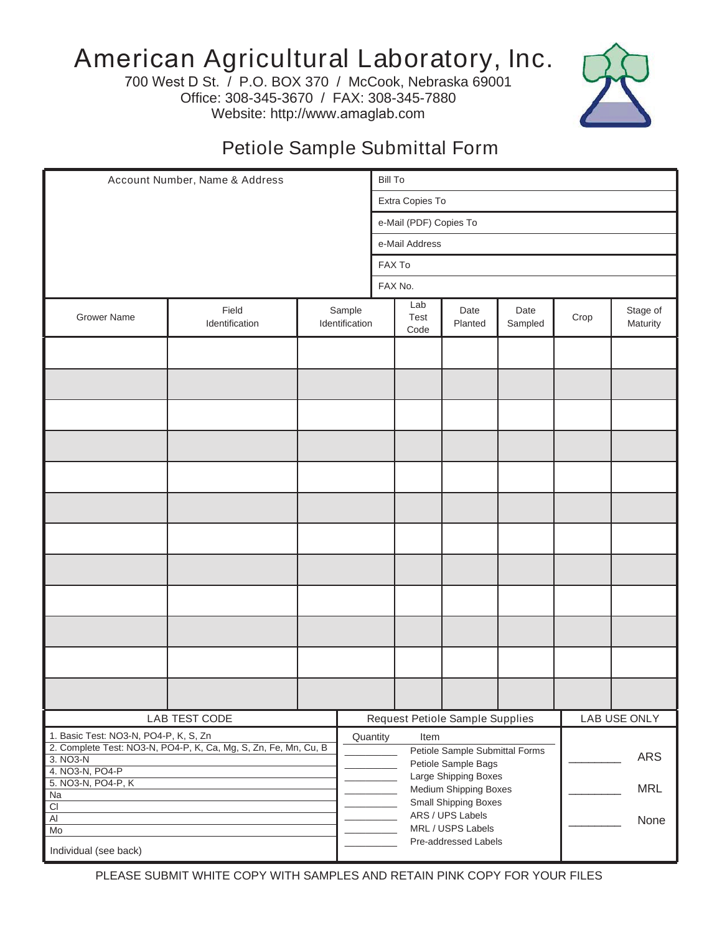## American Agricultural Laboratory, Inc.

700 West D St. / P.O. BOX 370 / McCook, Nebraska 69001 Office: 308-345-3670 / FAX: 308-345-7880 Website: http://www.amaglab.com



## Petiole Sample Submittal Form

| Account Number, Name & Address                                                                                       |                         |                          |  | <b>Bill To</b>                                                                                                                                |                     |                 |                 |              |                      |  |
|----------------------------------------------------------------------------------------------------------------------|-------------------------|--------------------------|--|-----------------------------------------------------------------------------------------------------------------------------------------------|---------------------|-----------------|-----------------|--------------|----------------------|--|
|                                                                                                                      |                         |                          |  | Extra Copies To                                                                                                                               |                     |                 |                 |              |                      |  |
|                                                                                                                      |                         |                          |  | e-Mail (PDF) Copies To                                                                                                                        |                     |                 |                 |              |                      |  |
|                                                                                                                      |                         |                          |  | e-Mail Address                                                                                                                                |                     |                 |                 |              |                      |  |
|                                                                                                                      |                         |                          |  | FAX To                                                                                                                                        |                     |                 |                 |              |                      |  |
|                                                                                                                      |                         |                          |  | FAX No.                                                                                                                                       |                     |                 |                 |              |                      |  |
|                                                                                                                      |                         |                          |  |                                                                                                                                               |                     |                 |                 |              |                      |  |
| <b>Grower Name</b>                                                                                                   | Field<br>Identification | Sample<br>Identification |  |                                                                                                                                               | Lab<br>Test<br>Code | Date<br>Planted | Date<br>Sampled | Crop         | Stage of<br>Maturity |  |
|                                                                                                                      |                         |                          |  |                                                                                                                                               |                     |                 |                 |              |                      |  |
|                                                                                                                      |                         |                          |  |                                                                                                                                               |                     |                 |                 |              |                      |  |
|                                                                                                                      |                         |                          |  |                                                                                                                                               |                     |                 |                 |              |                      |  |
|                                                                                                                      |                         |                          |  |                                                                                                                                               |                     |                 |                 |              |                      |  |
|                                                                                                                      |                         |                          |  |                                                                                                                                               |                     |                 |                 |              |                      |  |
|                                                                                                                      |                         |                          |  |                                                                                                                                               |                     |                 |                 |              |                      |  |
|                                                                                                                      |                         |                          |  |                                                                                                                                               |                     |                 |                 |              |                      |  |
|                                                                                                                      |                         |                          |  |                                                                                                                                               |                     |                 |                 |              |                      |  |
|                                                                                                                      |                         |                          |  |                                                                                                                                               |                     |                 |                 |              |                      |  |
|                                                                                                                      |                         |                          |  |                                                                                                                                               |                     |                 |                 |              |                      |  |
|                                                                                                                      |                         |                          |  |                                                                                                                                               |                     |                 |                 |              |                      |  |
|                                                                                                                      |                         |                          |  |                                                                                                                                               |                     |                 |                 |              |                      |  |
| LAB TEST CODE                                                                                                        |                         |                          |  | Request Petiole Sample Supplies                                                                                                               |                     |                 |                 | LAB USE ONLY |                      |  |
| 1. Basic Test: NO3-N, PO4-P, K, S, Zn<br>2. Complete Test: NO3-N, PO4-P, K, Ca, Mg, S, Zn, Fe, Mn, Cu, B<br>3. NO3-N |                         |                          |  | Quantity<br>Item<br>Petiole Sample Submittal Forms                                                                                            |                     |                 |                 | <b>ARS</b>   |                      |  |
| 4. NO3-N, PO4-P<br>5. NO3-N, PO4-P, K                                                                                |                         |                          |  | Petiole Sample Bags<br>Large Shipping Boxes<br><b>MRL</b><br>Medium Shipping Boxes<br><b>Small Shipping Boxes</b><br>ARS / UPS Labels<br>None |                     |                 |                 |              |                      |  |
| Na<br>$\overline{CI}$<br>$\overline{AI}$                                                                             |                         |                          |  |                                                                                                                                               |                     |                 |                 |              |                      |  |
| Mo                                                                                                                   |                         |                          |  | MRL / USPS Labels<br>Pre-addressed Labels                                                                                                     |                     |                 |                 |              |                      |  |
| Individual (see back)                                                                                                |                         |                          |  |                                                                                                                                               |                     |                 |                 |              |                      |  |

PLEASE SUBMIT WHITE COPY WITH SAMPLES AND RETAIN PINK COPY FOR YOUR FILES